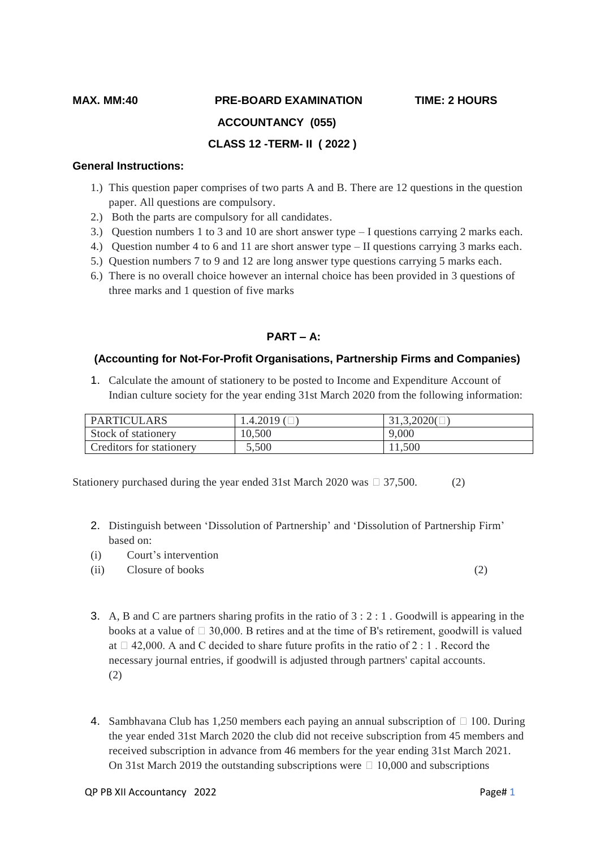# **MAX. MM:40 PRE-BOARD EXAMINATION TIME: 2 HOURS**

 **ACCOUNTANCY (055)**

#### **CLASS 12 -TERM- II ( 2022 )**

#### **General Instructions:**

- 1.) This question paper comprises of two parts A and B. There are 12 questions in the question paper. All questions are compulsory.
- 2.) Both the parts are compulsory for all candidates.
- 3.) Question numbers 1 to 3 and 10 are short answer type I questions carrying 2 marks each.
- 4.) Question number 4 to 6 and 11 are short answer type II questions carrying 3 marks each.
- 5.) Question numbers 7 to 9 and 12 are long answer type questions carrying 5 marks each.
- 6.) There is no overall choice however an internal choice has been provided in 3 questions of three marks and 1 question of five marks

### **PART – A:**

#### **(Accounting for Not-For-Profit Organisations, Partnership Firms and Companies)**

1. Calculate the amount of stationery to be posted to Income and Expenditure Account of Indian culture society for the year ending 31st March 2020 from the following information:

| <b>PARTICULARS</b>       | 1.4.2019 | 31,3,2020( |
|--------------------------|----------|------------|
| Stock of stationery      | 10,500   | 9,000      |
| Creditors for stationery | 5,500    | 11,500     |

Stationery purchased during the year ended 31st March 2020 was  $\Box$  37,500. (2)

- 2. Distinguish between 'Dissolution of Partnership' and 'Dissolution of Partnership Firm' based on:
- (i) Court's intervention
- (ii) Closure of books (2)

- 3. A, B and C are partners sharing profits in the ratio of  $3:2:1$ . Goodwill is appearing in the books at a value of  $\Box$  30,000. B retires and at the time of B's retirement, goodwill is valued at  $\Box$  42,000. A and C decided to share future profits in the ratio of 2 : 1. Record the necessary journal entries, if goodwill is adjusted through partners' capital accounts. (2)
- 4. Sambhavana Club has 1,250 members each paying an annual subscription of  $\Box$  100. During the year ended 31st March 2020 the club did not receive subscription from 45 members and received subscription in advance from 46 members for the year ending 31st March 2021. On 31st March 2019 the outstanding subscriptions were  $\Box$  10,000 and subscriptions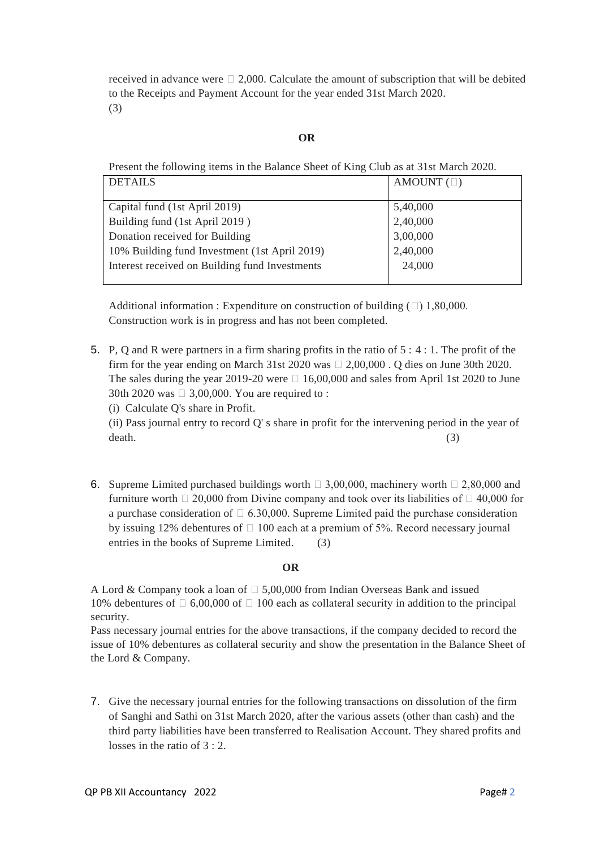received in advance were  $\Box$  2,000. Calculate the amount of subscription that will be debited to the Receipts and Payment Account for the year ended 31st March 2020. (3)

#### **OR**

Present the following items in the Balance Sheet of King Club as at 31st March 2020.

| <b>DETAILS</b>                                 | AMOUNT $(\Box)$ |
|------------------------------------------------|-----------------|
|                                                |                 |
| Capital fund (1st April 2019)                  | 5,40,000        |
| Building fund (1st April 2019)                 | 2,40,000        |
| Donation received for Building                 | 3,00,000        |
| 10% Building fund Investment (1st April 2019)  | 2,40,000        |
| Interest received on Building fund Investments | 24,000          |
|                                                |                 |

Additional information : Expenditure on construction of building  $(\square)$  1,80,000. Construction work is in progress and has not been completed.

5. P, Q and R were partners in a firm sharing profits in the ratio of 5 : 4 : 1. The profit of the firm for the year ending on March 31st 2020 was  $\Box$  2,00,000 . O dies on June 30th 2020. The sales during the year 2019-20 were  $\Box$  16,00,000 and sales from April 1st 2020 to June 30th 2020 was  $\Box$  3,00,000. You are required to :

(i) Calculate Q's share in Profit.

(ii) Pass journal entry to record Q' s share in profit for the intervening period in the year of death. (3)

6. Supreme Limited purchased buildings worth  $\Box$  3,00,000, machinery worth  $\Box$  2,80,000 and furniture worth  $\Box$  20,000 from Divine company and took over its liabilities of  $\Box$  40,000 for a purchase consideration of  $\Box$  6.30,000. Supreme Limited paid the purchase consideration by issuing 12% debentures of  $\Box$  100 each at a premium of 5%. Record necessary journal entries in the books of Supreme Limited. (3)

#### **OR**

A Lord & Company took a loan of  $\Box$  5,00,000 from Indian Overseas Bank and issued 10% debentures of  $\Box$  6,00,000 of  $\Box$  100 each as collateral security in addition to the principal security.

Pass necessary journal entries for the above transactions, if the company decided to record the issue of 10% debentures as collateral security and show the presentation in the Balance Sheet of the Lord & Company.

7. Give the necessary journal entries for the following transactions on dissolution of the firm of Sanghi and Sathi on 31st March 2020, after the various assets (other than cash) and the third party liabilities have been transferred to Realisation Account. They shared profits and losses in the ratio of  $3:2$ .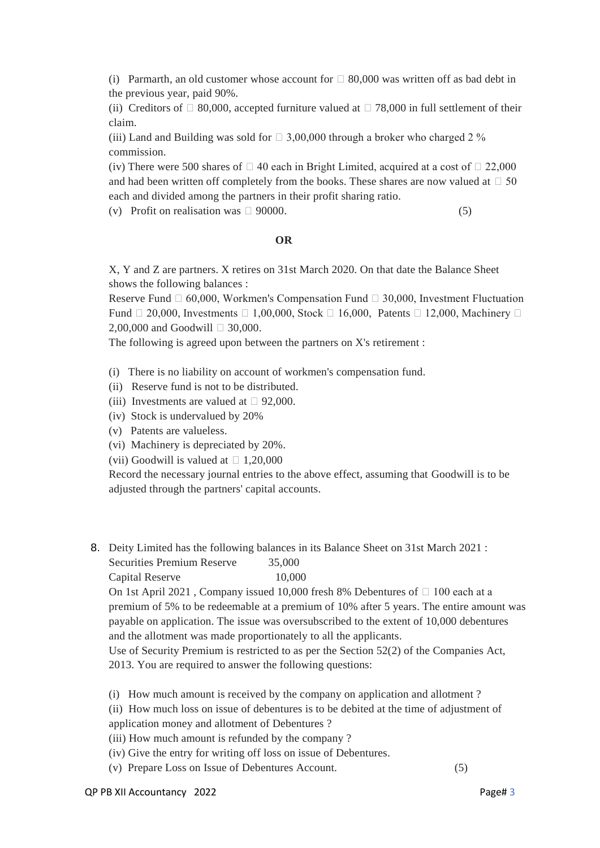(i) Parmarth, an old customer whose account for  $\Box$  80,000 was written off as bad debt in the previous year, paid 90%.

(ii) Creditors of  $\Box$  80,000, accepted furniture valued at  $\Box$  78,000 in full settlement of their claim.

(iii) Land and Building was sold for  $\Box$  3,00,000 through a broker who charged 2 % commission.

(iv) There were 500 shares of  $\Box$  40 each in Bright Limited, acquired at a cost of  $\Box$  22,000 and had been written off completely from the books. These shares are now valued at  $\Box$  50 each and divided among the partners in their profit sharing ratio.

(v) Profit on realisation was  $\Box$  90000. (5)

#### **OR**

X, Y and Z are partners. X retires on 31st March 2020. On that date the Balance Sheet shows the following balances :

Reserve Fund  $\Box$  60,000, Workmen's Compensation Fund  $\Box$  30,000, Investment Fluctuation Fund  $\Box$  20,000, Investments  $\Box$  1,00,000, Stock  $\Box$  16,000, Patents  $\Box$  12,000, Machinery  $\Box$ 2,00,000 and Goodwill  $\Box$  30,000.

The following is agreed upon between the partners on X's retirement :

- (i) There is no liability on account of workmen's compensation fund.
- (ii) Reserve fund is not to be distributed.
- (iii) Investments are valued at  $\Box$  92,000.
- (iv) Stock is undervalued by 20%
- (v) Patents are valueless.
- (vi) Machinery is depreciated by 20%.

(vii) Goodwill is valued at  $\Box$  1,20,000

Record the necessary journal entries to the above effect, assuming that Goodwill is to be adjusted through the partners' capital accounts.

8. Deity Limited has the following balances in its Balance Sheet on 31st March 2021 : Securities Premium Reserve 35,000

# Capital Reserve 10,000

On 1st April 2021, Company issued 10,000 fresh 8% Debentures of  $\Box$  100 each at a premium of 5% to be redeemable at a premium of 10% after 5 years. The entire amount was payable on application. The issue was oversubscribed to the extent of 10,000 debentures and the allotment was made proportionately to all the applicants.

Use of Security Premium is restricted to as per the Section 52(2) of the Companies Act, 2013. You are required to answer the following questions:

- (i) How much amount is received by the company on application and allotment ?
- (ii) How much loss on issue of debentures is to be debited at the time of adjustment of
- application money and allotment of Debentures ?
- (iii) How much amount is refunded by the company ?
- (iv) Give the entry for writing off loss on issue of Debentures.
- (v) Prepare Loss on Issue of Debentures Account. (5)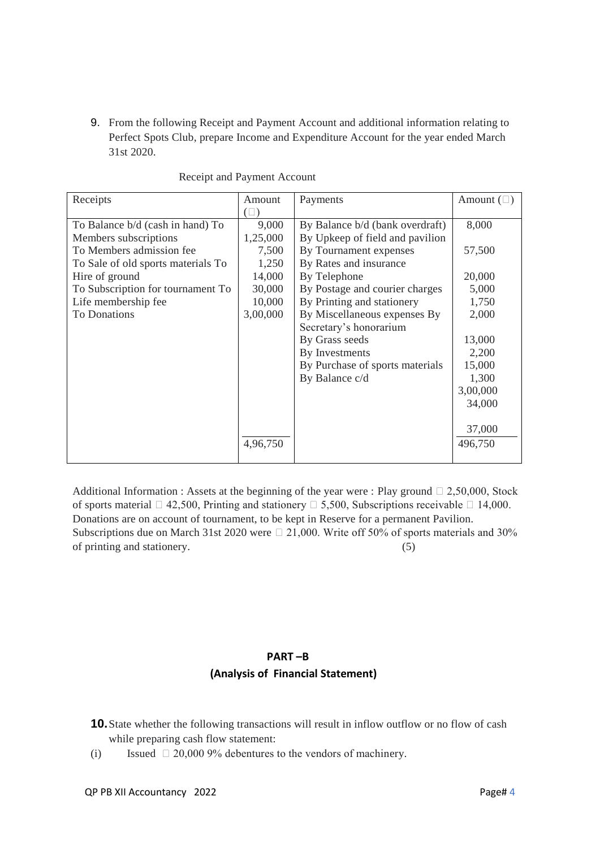9. From the following Receipt and Payment Account and additional information relating to Perfect Spots Club, prepare Income and Expenditure Account for the year ended March 31st 2020.

| Receipts                           | Amount   | Payments                        | Amount $(\square)$ |
|------------------------------------|----------|---------------------------------|--------------------|
|                                    | (        |                                 |                    |
| To Balance b/d (cash in hand) To   | 9,000    | By Balance b/d (bank overdraft) | 8,000              |
| Members subscriptions              | 1,25,000 | By Upkeep of field and pavilion |                    |
| To Members admission fee           | 7,500    | By Tournament expenses          | 57,500             |
| To Sale of old sports materials To | 1,250    | By Rates and insurance          |                    |
| Hire of ground                     | 14,000   | By Telephone                    | 20,000             |
| To Subscription for tournament To  | 30,000   | By Postage and courier charges  | 5,000              |
| Life membership fee                | 10,000   | By Printing and stationery      | 1,750              |
| <b>To Donations</b>                | 3,00,000 | By Miscellaneous expenses By    | 2,000              |
|                                    |          | Secretary's honorarium          |                    |
|                                    |          | By Grass seeds                  | 13,000             |
|                                    |          | By Investments                  | 2,200              |
|                                    |          | By Purchase of sports materials | 15,000             |
|                                    |          | By Balance c/d                  | 1,300              |
|                                    |          |                                 | 3,00,000           |
|                                    |          |                                 | 34,000             |
|                                    |          |                                 |                    |
|                                    |          |                                 | 37,000             |
|                                    | 4,96,750 |                                 | 496,750            |
|                                    |          |                                 |                    |

Receipt and Payment Account

Additional Information : Assets at the beginning of the year were : Play ground  $\Box$  2,50,000, Stock of sports material  $\Box$  42,500, Printing and stationery  $\Box$  5,500, Subscriptions receivable  $\Box$  14,000. Donations are on account of tournament, to be kept in Reserve for a permanent Pavilion. Subscriptions due on March 31st 2020 were  $\Box$  21,000. Write off 50% of sports materials and 30% of printing and stationery. (5)

## **PART –B (Analysis of Financial Statement)**

- **10.**State whether the following transactions will result in inflow outflow or no flow of cash while preparing cash flow statement:
- (i) Issued  $\Box$  20,000 9% debentures to the vendors of machinery.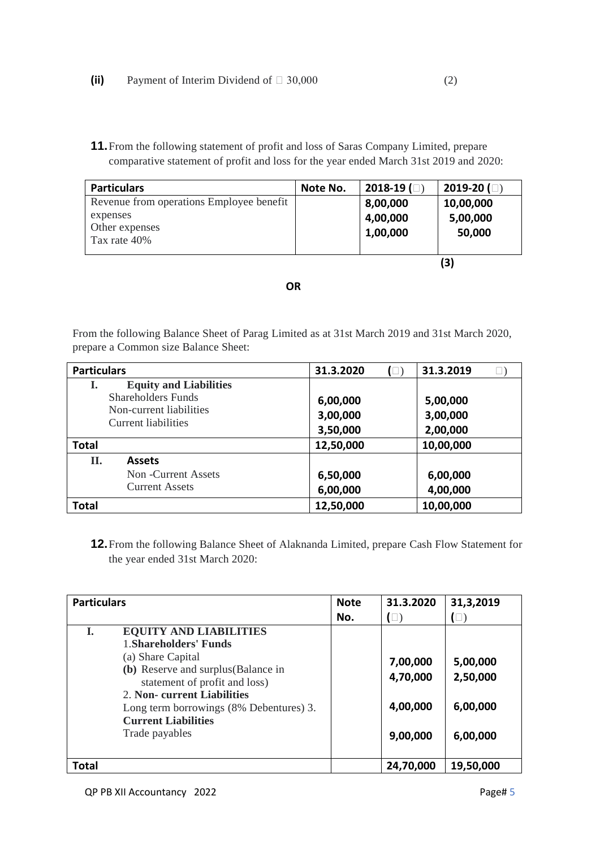**11.**From the following statement of profit and loss of Saras Company Limited, prepare comparative statement of profit and loss for the year ended March 31st 2019 and 2020:

| <b>Particulars</b>                       | Note No. | $2018 - 19$ ( $\Box$ ) | $2019-20$ ( $\Box$ ) |
|------------------------------------------|----------|------------------------|----------------------|
| Revenue from operations Employee benefit |          | 8,00,000               | 10,00,000            |
| expenses                                 |          | 4,00,000               | 5,00,000             |
| Other expenses                           |          | 1,00,000               | 50,000               |
| Tax rate 40%                             |          |                        |                      |

 **(3)**

 *OR* OR

From the following Balance Sheet of Parag Limited as at 31st March 2019 and 31st March 2020, prepare a Common size Balance Sheet:

| <b>Particulars</b>                             |                               | 31.3.2020 | $(\Box)$ | 31.3.2019 |          |
|------------------------------------------------|-------------------------------|-----------|----------|-----------|----------|
| I.                                             | <b>Equity and Liabilities</b> |           |          |           |          |
| Shareholders Funds                             |                               | 6,00,000  |          | 5,00,000  |          |
| Non-current liabilities<br>Current liabilities |                               | 3,00,000  |          | 3,00,000  |          |
|                                                |                               | 3,50,000  |          |           | 2,00,000 |
| <b>Total</b>                                   |                               | 12,50,000 |          | 10,00,000 |          |
| П.                                             | <b>Assets</b>                 |           |          |           |          |
|                                                | Non -Current Assets           | 6,50,000  |          | 6,00,000  |          |
|                                                | <b>Current Assets</b>         | 6,00,000  |          | 4,00,000  |          |
| <b>Total</b>                                   |                               | 12,50,000 |          | 10,00,000 |          |

**12.**From the following Balance Sheet of Alaknanda Limited, prepare Cash Flow Statement for the year ended 31st March 2020:

| <b>Particulars</b> |                                         | <b>Note</b> | 31.3.2020 | 31,3,2019 |
|--------------------|-----------------------------------------|-------------|-----------|-----------|
|                    |                                         | No.         | $\Box$ )  | $(\Box)$  |
| L.                 | <b>EQUITY AND LIABILITIES</b>           |             |           |           |
|                    | 1. Shareholders' Funds                  |             |           |           |
|                    | (a) Share Capital                       |             | 7,00,000  | 5,00,000  |
|                    | (b) Reserve and surplus (Balance in     |             | 4,70,000  | 2,50,000  |
|                    | statement of profit and loss)           |             |           |           |
|                    | 2. Non-current Liabilities              |             |           |           |
|                    | Long term borrowings (8% Debentures) 3. |             | 4,00,000  | 6,00,000  |
|                    | <b>Current Liabilities</b>              |             |           |           |
|                    | Trade payables                          |             | 9,00,000  | 6,00,000  |
|                    |                                         |             |           |           |
| <b>Total</b>       |                                         |             | 24,70,000 | 19,50,000 |